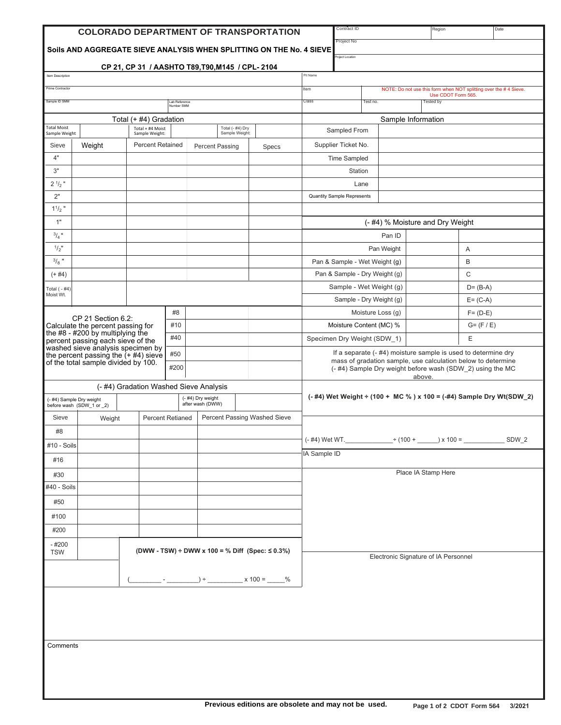|                                                                                                |                                                                               |                                        |                         | <b>COLORADO DEPARTMENT OF TRANSPORTATION</b>    |       | Contract ID                                                                                                                                                                                          |            | Region                                 | Date                                                             |  |
|------------------------------------------------------------------------------------------------|-------------------------------------------------------------------------------|----------------------------------------|-------------------------|-------------------------------------------------|-------|------------------------------------------------------------------------------------------------------------------------------------------------------------------------------------------------------|------------|----------------------------------------|------------------------------------------------------------------|--|
|                                                                                                |                                                                               |                                        |                         |                                                 |       | Project No                                                                                                                                                                                           |            |                                        |                                                                  |  |
| Soils AND AGGREGATE SIEVE ANALYSIS WHEN SPLITTING ON THE No. 4 SIEVE<br>Project Location       |                                                                               |                                        |                         |                                                 |       |                                                                                                                                                                                                      |            |                                        |                                                                  |  |
| Item Description                                                                               |                                                                               |                                        |                         | CP 21, CP 31 / AASHTO T89, T90, M145 / CPL-2104 |       | Pit Name                                                                                                                                                                                             |            |                                        |                                                                  |  |
| Prime Contractor                                                                               |                                                                               |                                        |                         |                                                 |       | Item                                                                                                                                                                                                 |            |                                        | NOTE: Do not use this form when NOT splitting over the #4 Sieve. |  |
| Sample ID SMM                                                                                  |                                                                               |                                        | Lab Reference           |                                                 |       | Class<br>Test no.                                                                                                                                                                                    |            | Use CDOT Form 565.<br><b>Tested by</b> |                                                                  |  |
|                                                                                                |                                                                               |                                        | Number SMM              |                                                 |       |                                                                                                                                                                                                      |            |                                        |                                                                  |  |
| <b>Total Moist</b>                                                                             |                                                                               | Total (+ #4) Gradation                 |                         | Total (- #4) Dry                                |       | Sample Information                                                                                                                                                                                   |            |                                        |                                                                  |  |
| Sample Weight                                                                                  |                                                                               | Total + #4 Moist<br>Sample Weight:     |                         | Sample Weight:                                  |       | Sampled From                                                                                                                                                                                         |            |                                        |                                                                  |  |
| Sieve                                                                                          | Weight                                                                        | <b>Percent Retained</b>                |                         | <b>Percent Passing</b>                          | Specs | Supplier Ticket No.                                                                                                                                                                                  |            |                                        |                                                                  |  |
| 4"                                                                                             |                                                                               |                                        |                         |                                                 |       | <b>Time Sampled</b>                                                                                                                                                                                  |            |                                        |                                                                  |  |
| 3"                                                                                             |                                                                               |                                        |                         |                                                 |       | Station                                                                                                                                                                                              |            |                                        |                                                                  |  |
| $2 \frac{1}{2}$ "                                                                              |                                                                               |                                        |                         |                                                 |       | Lane                                                                                                                                                                                                 |            |                                        |                                                                  |  |
| 2"                                                                                             |                                                                               |                                        |                         |                                                 |       | <b>Quantity Sample Represents</b>                                                                                                                                                                    |            |                                        |                                                                  |  |
| $11/2$ "                                                                                       |                                                                               |                                        |                         |                                                 |       |                                                                                                                                                                                                      |            |                                        |                                                                  |  |
| 1"                                                                                             |                                                                               |                                        |                         |                                                 |       |                                                                                                                                                                                                      |            | (- #4) % Moisture and Dry Weight       |                                                                  |  |
| $^{3}/_{4}$ "                                                                                  |                                                                               |                                        |                         |                                                 |       |                                                                                                                                                                                                      | Pan ID     |                                        |                                                                  |  |
| $1/2$ "                                                                                        |                                                                               |                                        |                         |                                                 |       |                                                                                                                                                                                                      | Pan Weight | Α                                      |                                                                  |  |
| $3/8$ "                                                                                        |                                                                               |                                        |                         |                                                 |       | Pan & Sample - Wet Weight (g)                                                                                                                                                                        |            | B                                      |                                                                  |  |
| $(+ 44)$                                                                                       |                                                                               |                                        |                         |                                                 |       | Pan & Sample - Dry Weight (g)                                                                                                                                                                        |            | C                                      |                                                                  |  |
| Total $(-#4)$<br>Moist Wt.                                                                     |                                                                               |                                        |                         |                                                 |       | Sample - Wet Weight (g)<br>Sample - Dry Weight (g)                                                                                                                                                   |            |                                        | $D = (B-A)$<br>$E = (C-A)$                                       |  |
|                                                                                                |                                                                               |                                        | #8                      |                                                 |       | Moisture Loss (g)                                                                                                                                                                                    |            |                                        | $F = (D-E)$                                                      |  |
|                                                                                                | CP 21 Section 6.2:<br>Calculate the percent passing for                       |                                        | #10                     |                                                 |       | Moisture Content (MC) %                                                                                                                                                                              |            |                                        | $G = (F / E)$                                                    |  |
|                                                                                                | the $#8 - #200$ by multiplying the                                            |                                        | #40                     |                                                 |       | Specimen Dry Weight (SDW_1)                                                                                                                                                                          |            |                                        | Ε                                                                |  |
|                                                                                                | percent passing each sieve of the<br>washed sieve analysis specimen by        |                                        |                         |                                                 |       | If a separate (- #4) moisture sample is used to determine dry<br>mass of gradation sample, use calculation below to determine<br>(- #4) Sample Dry weight before wash (SDW_2) using the MC<br>above. |            |                                        |                                                                  |  |
|                                                                                                | the percent passing the $(+$ #4) sieve<br>of the total sample divided by 100. |                                        | #50                     |                                                 |       |                                                                                                                                                                                                      |            |                                        |                                                                  |  |
|                                                                                                |                                                                               |                                        | #200                    |                                                 |       |                                                                                                                                                                                                      |            |                                        |                                                                  |  |
|                                                                                                |                                                                               | (- #4) Gradation Washed Sieve Analysis |                         |                                                 |       |                                                                                                                                                                                                      |            |                                        |                                                                  |  |
| (- #4) Dry weight<br>(- #4) Sample Dry weight<br>after wash (DWW)<br>before wash (SDW_1 or _2) |                                                                               |                                        |                         |                                                 |       | (-#4) Wet Weight ÷ (100 + MC %) x 100 = (-#4) Sample Dry Wt(SDW_2)                                                                                                                                   |            |                                        |                                                                  |  |
| Sieve                                                                                          | Weight                                                                        |                                        | <b>Percent Retianed</b> | <b>Percent Passing Washed Sieve</b>             |       |                                                                                                                                                                                                      |            |                                        |                                                                  |  |
| #8                                                                                             |                                                                               |                                        |                         |                                                 |       |                                                                                                                                                                                                      |            |                                        |                                                                  |  |
| #10 - Soils                                                                                    |                                                                               |                                        |                         |                                                 |       |                                                                                                                                                                                                      |            |                                        | SDW_2                                                            |  |
|                                                                                                |                                                                               |                                        |                         |                                                 |       | IA Sample ID                                                                                                                                                                                         |            |                                        |                                                                  |  |
| #16                                                                                            |                                                                               |                                        |                         |                                                 |       |                                                                                                                                                                                                      |            | Place IA Stamp Here                    |                                                                  |  |
| #30                                                                                            |                                                                               |                                        |                         |                                                 |       |                                                                                                                                                                                                      |            |                                        |                                                                  |  |
| #40 - Soils                                                                                    |                                                                               |                                        |                         |                                                 |       |                                                                                                                                                                                                      |            |                                        |                                                                  |  |
| #50                                                                                            |                                                                               |                                        |                         |                                                 |       |                                                                                                                                                                                                      |            |                                        |                                                                  |  |
| #100                                                                                           |                                                                               |                                        |                         |                                                 |       |                                                                                                                                                                                                      |            |                                        |                                                                  |  |
| #200                                                                                           |                                                                               |                                        |                         |                                                 |       |                                                                                                                                                                                                      |            |                                        |                                                                  |  |
| - #200<br>(DWW - TSW) ÷ DWW x 100 = % Diff (Spec: $\leq$ 0.3%)<br><b>TSW</b>                   |                                                                               |                                        |                         |                                                 |       |                                                                                                                                                                                                      |            |                                        |                                                                  |  |
|                                                                                                |                                                                               |                                        |                         |                                                 |       | Electronic Signature of IA Personnel                                                                                                                                                                 |            |                                        |                                                                  |  |
|                                                                                                |                                                                               |                                        |                         |                                                 |       |                                                                                                                                                                                                      |            |                                        |                                                                  |  |
|                                                                                                | $) \div$ x 100 = _____ %                                                      |                                        |                         |                                                 |       |                                                                                                                                                                                                      |            |                                        |                                                                  |  |
|                                                                                                |                                                                               |                                        |                         |                                                 |       |                                                                                                                                                                                                      |            |                                        |                                                                  |  |
|                                                                                                |                                                                               |                                        |                         |                                                 |       |                                                                                                                                                                                                      |            |                                        |                                                                  |  |
|                                                                                                |                                                                               |                                        |                         |                                                 |       |                                                                                                                                                                                                      |            |                                        |                                                                  |  |
|                                                                                                | Comments                                                                      |                                        |                         |                                                 |       |                                                                                                                                                                                                      |            |                                        |                                                                  |  |
|                                                                                                |                                                                               |                                        |                         |                                                 |       |                                                                                                                                                                                                      |            |                                        |                                                                  |  |
|                                                                                                |                                                                               |                                        |                         |                                                 |       |                                                                                                                                                                                                      |            |                                        |                                                                  |  |
|                                                                                                |                                                                               |                                        |                         |                                                 |       |                                                                                                                                                                                                      |            |                                        |                                                                  |  |
|                                                                                                |                                                                               |                                        |                         |                                                 |       |                                                                                                                                                                                                      |            |                                        |                                                                  |  |

J